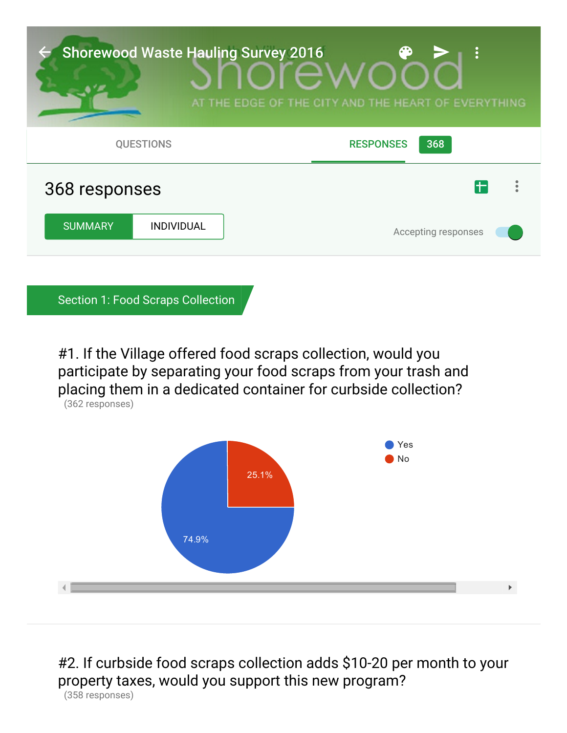

Section 1: Food Scraps Collection

#1. If the Village offered food scraps collection, would you participate by separating your food scraps from your trash and placing them in a dedicated container for curbside collection? (362 responses)



#2. If curbside food scraps collection adds \$10-20 per month to your property taxes, would you support this new program? (358 responses)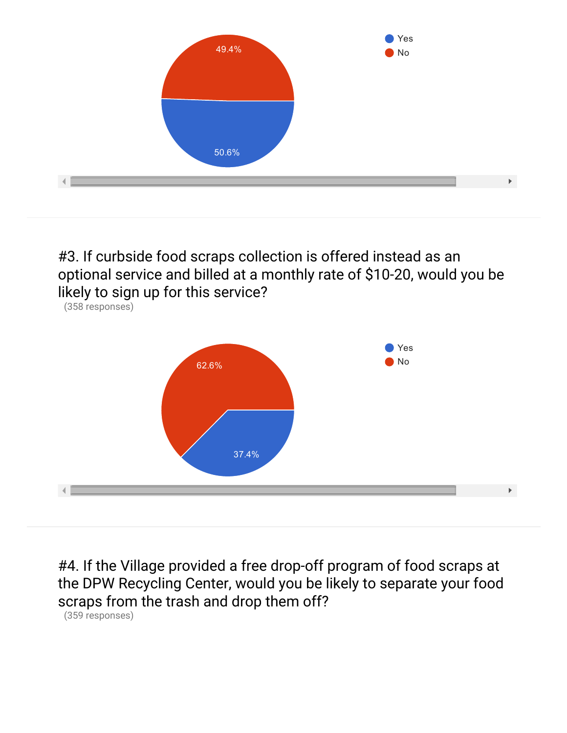

#3. If curbside food scraps collection is offered instead as an optional service and billed at a monthly rate of \$10-20, would you be likely to sign up for this service?



#4. If the Village provided a free drop-off program of food scraps at the DPW Recycling Center, would you be likely to separate your food scraps from the trash and drop them off?

(359 responses)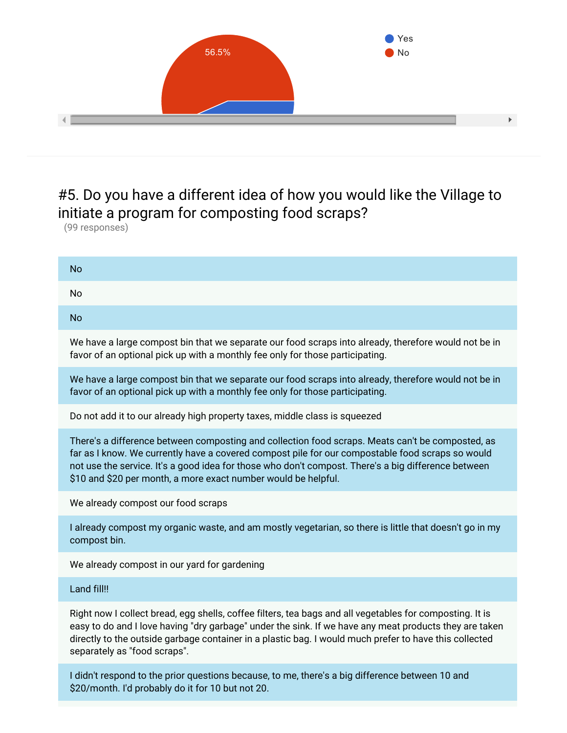

## #5. Do you have a different idea of how you would like the Village to initiate a program for composting food scraps?

(99 responses)

| <b>No</b>                                                                                                                                                                                                                                                                                                                                                                     |
|-------------------------------------------------------------------------------------------------------------------------------------------------------------------------------------------------------------------------------------------------------------------------------------------------------------------------------------------------------------------------------|
| <b>No</b>                                                                                                                                                                                                                                                                                                                                                                     |
| <b>No</b>                                                                                                                                                                                                                                                                                                                                                                     |
| We have a large compost bin that we separate our food scraps into already, therefore would not be in<br>favor of an optional pick up with a monthly fee only for those participating.                                                                                                                                                                                         |
| We have a large compost bin that we separate our food scraps into already, therefore would not be in<br>favor of an optional pick up with a monthly fee only for those participating.                                                                                                                                                                                         |
| Do not add it to our already high property taxes, middle class is squeezed                                                                                                                                                                                                                                                                                                    |
| There's a difference between composting and collection food scraps. Meats can't be composted, as<br>far as I know. We currently have a covered compost pile for our compostable food scraps so would<br>not use the service. It's a good idea for those who don't compost. There's a big difference between<br>\$10 and \$20 per month, a more exact number would be helpful. |
| We already compost our food scraps                                                                                                                                                                                                                                                                                                                                            |
| I already compost my organic waste, and am mostly vegetarian, so there is little that doesn't go in my<br>compost bin.                                                                                                                                                                                                                                                        |
| We already compost in our yard for gardening                                                                                                                                                                                                                                                                                                                                  |
| Land fill!!                                                                                                                                                                                                                                                                                                                                                                   |
| Right now I collect bread, egg shells, coffee filters, tea bags and all vegetables for composting. It is<br>easy to do and I love having "dry garbage" under the sink. If we have any meat products they are taken<br>directly to the outside garbage container in a plastic bag. I would much prefer to have this collected<br>separately as "food scraps".                  |

I didn't respond to the prior questions because, to me, there's a big difference between 10 and \$20/month. I'd probably do it for 10 but not 20.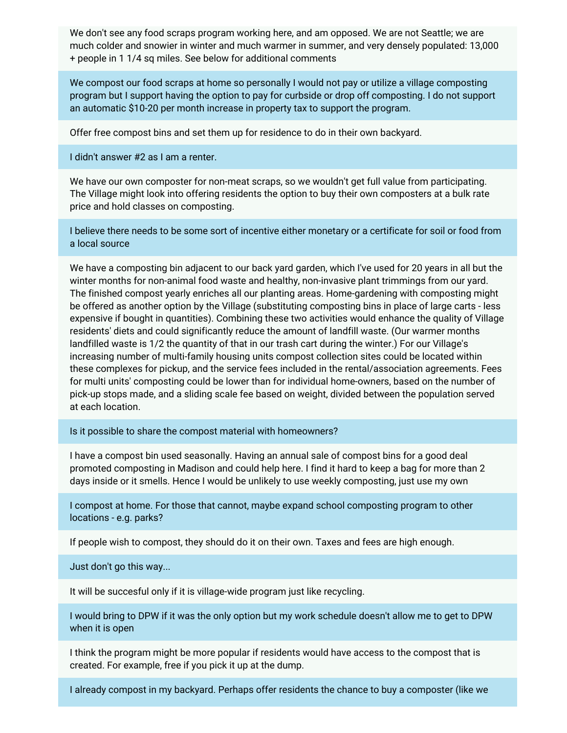We don't see any food scraps program working here, and am opposed. We are not Seattle; we are much colder and snowier in winter and much warmer in summer, and very densely populated: 13,000 + people in 1 1/4 sq miles. See below for additional comments

We compost our food scraps at home so personally I would not pay or utilize a village composting program but I support having the option to pay for curbside or drop off composting. I do not support an automatic \$10-20 per month increase in property tax to support the program.

Offer free compost bins and set them up for residence to do in their own backyard.

I didn't answer #2 as I am a renter.

We have our own composter for non-meat scraps, so we wouldn't get full value from participating. The Village might look into offering residents the option to buy their own composters at a bulk rate price and hold classes on composting.

I believe there needs to be some sort of incentive either monetary or a certificate for soil or food from a local source

We have a composting bin adjacent to our back yard garden, which I've used for 20 years in all but the winter months for non-animal food waste and healthy, non-invasive plant trimmings from our yard. The finished compost yearly enriches all our planting areas. Home-gardening with composting might be offered as another option by the Village (substituting composting bins in place of large carts - less expensive if bought in quantities). Combining these two activities would enhance the quality of Village residents' diets and could significantly reduce the amount of landfill waste. (Our warmer months landfilled waste is 1/2 the quantity of that in our trash cart during the winter.) For our Village's increasing number of multi-family housing units compost collection sites could be located within these complexes for pickup, and the service fees included in the rental/association agreements. Fees for multi units' composting could be lower than for individual home-owners, based on the number of pick-up stops made, and a sliding scale fee based on weight, divided between the population served at each location.

Is it possible to share the compost material with homeowners?

I have a compost bin used seasonally. Having an annual sale of compost bins for a good deal promoted composting in Madison and could help here. I find it hard to keep a bag for more than 2 days inside or it smells. Hence I would be unlikely to use weekly composting, just use my own

I compost at home. For those that cannot, maybe expand school composting program to other locations - e.g. parks?

If people wish to compost, they should do it on their own. Taxes and fees are high enough.

Just don't go this way...

It will be succesful only if it is village-wide program just like recycling.

I would bring to DPW if it was the only option but my work schedule doesn't allow me to get to DPW when it is open

I think the program might be more popular if residents would have access to the compost that is created. For example, free if you pick it up at the dump.

I already compost in my backyard. Perhaps offer residents the chance to buy a composter (like we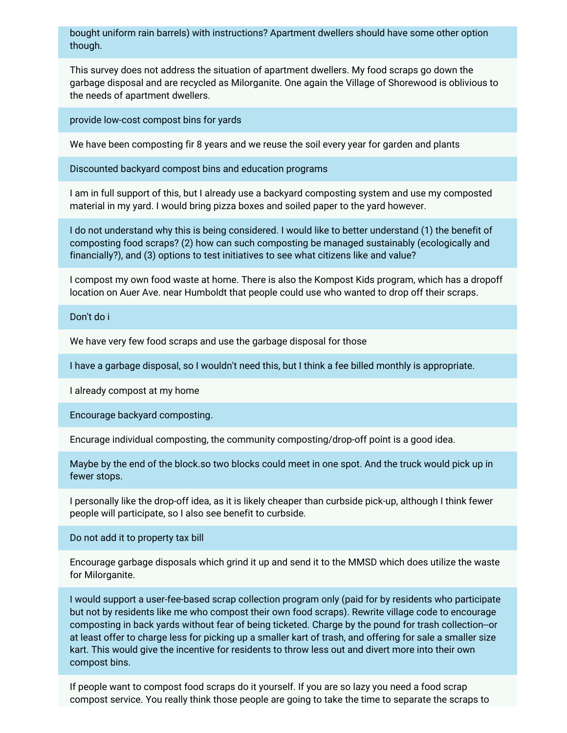bought uniform rain barrels) with instructions? Apartment dwellers should have some other option though.

This survey does not address the situation of apartment dwellers. My food scraps go down the garbage disposal and are recycled as Milorganite. One again the Village of Shorewood is oblivious to the needs of apartment dwellers.

provide low-cost compost bins for yards

We have been composting fir 8 years and we reuse the soil every year for garden and plants

Discounted backyard compost bins and education programs

I am in full support of this, but I already use a backyard composting system and use my composted material in my yard. I would bring pizza boxes and soiled paper to the yard however.

I do not understand why this is being considered. I would like to better understand (1) the benefit of composting food scraps? (2) how can such composting be managed sustainably (ecologically and financially?), and (3) options to test initiatives to see what citizens like and value?

I compost my own food waste at home. There is also the Kompost Kids program, which has a dropoff location on Auer Ave. near Humboldt that people could use who wanted to drop off their scraps.

Don't do i

We have very few food scraps and use the garbage disposal for those

I have a garbage disposal, so I wouldn't need this, but I think a fee billed monthly is appropriate.

I already compost at my home

Encourage backyard composting.

Encurage individual composting, the community composting/drop-off point is a good idea.

Maybe by the end of the block.so two blocks could meet in one spot. And the truck would pick up in fewer stops.

I personally like the drop-off idea, as it is likely cheaper than curbside pick-up, although I think fewer people will participate, so I also see benefit to curbside.

Do not add it to property tax bill

Encourage garbage disposals which grind it up and send it to the MMSD which does utilize the waste for Milorganite.

I would support a user-fee-based scrap collection program only (paid for by residents who participate but not by residents like me who compost their own food scraps). Rewrite village code to encourage composting in back yards without fear of being ticketed. Charge by the pound for trash collection--or at least offer to charge less for picking up a smaller kart of trash, and offering for sale a smaller size kart. This would give the incentive for residents to throw less out and divert more into their own compost bins.

If people want to compost food scraps do it yourself. If you are so lazy you need a food scrap compost service. You really think those people are going to take the time to separate the scraps to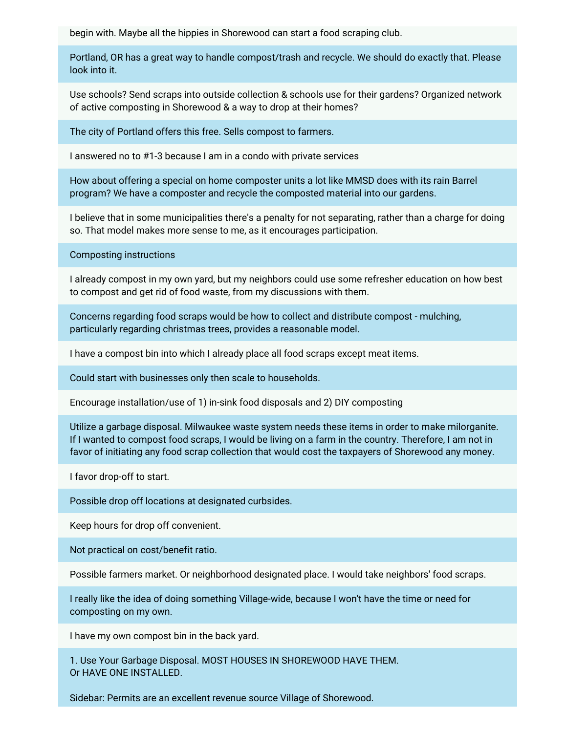begin with. Maybe all the hippies in Shorewood can start a food scraping club.

Portland, OR has a great way to handle compost/trash and recycle. We should do exactly that. Please look into it.

Use schools? Send scraps into outside collection & schools use for their gardens? Organized network of active composting in Shorewood & a way to drop at their homes?

The city of Portland offers this free. Sells compost to farmers.

I answered no to #1-3 because I am in a condo with private services

How about offering a special on home composter units a lot like MMSD does with its rain Barrel program? We have a composter and recycle the composted material into our gardens.

I believe that in some municipalities there's a penalty for not separating, rather than a charge for doing so. That model makes more sense to me, as it encourages participation.

Composting instructions

I already compost in my own yard, but my neighbors could use some refresher education on how best to compost and get rid of food waste, from my discussions with them.

Concerns regarding food scraps would be how to collect and distribute compost - mulching, particularly regarding christmas trees, provides a reasonable model.

I have a compost bin into which I already place all food scraps except meat items.

Could start with businesses only then scale to households.

Encourage installation/use of 1) in-sink food disposals and 2) DIY composting

Utilize a garbage disposal. Milwaukee waste system needs these items in order to make milorganite. If I wanted to compost food scraps, I would be living on a farm in the country. Therefore, I am not in favor of initiating any food scrap collection that would cost the taxpayers of Shorewood any money.

I favor drop-off to start.

Possible drop off locations at designated curbsides.

Keep hours for drop off convenient.

Not practical on cost/benefit ratio.

Possible farmers market. Or neighborhood designated place. I would take neighbors' food scraps.

I really like the idea of doing something Village-wide, because I won't have the time or need for composting on my own.

I have my own compost bin in the back yard.

1. Use Your Garbage Disposal. MOST HOUSES IN SHOREWOOD HAVE THEM. Or HAVE ONE INSTALLED.

Sidebar: Permits are an excellent revenue source Village of Shorewood.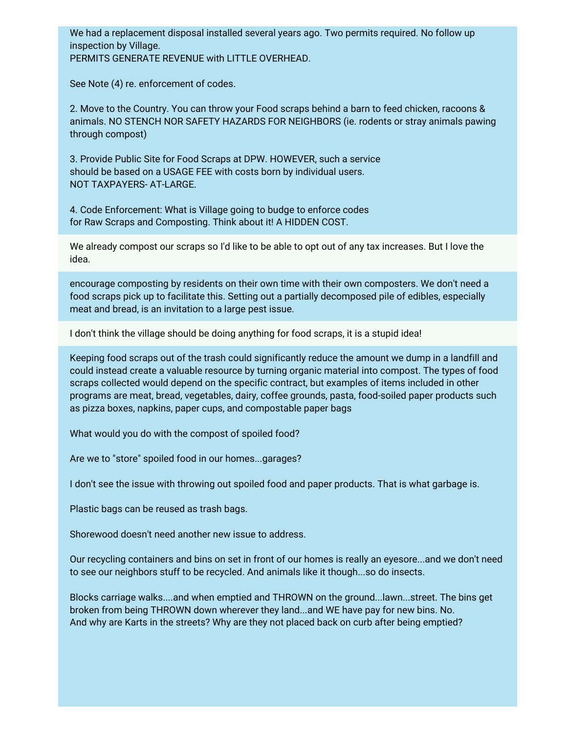We had a replacement disposal installed several years ago. Two permits required. No follow up inspection by Village. PERMITS GENERATE REVENUE with LITTLE OVERHEAD.

See Note (4) re. enforcement of codes.

2. Move to the Country. You can throw your Food scraps behind a barn to feed chicken, racoons & animals. NO STENCH NOR SAFETY HAZARDS FOR NEIGHBORS (ie. rodents or stray animals pawing through compost)

3. Provide Public Site for Food Scraps at DPW. HOWEVER, such a service should be based on a USAGE FEE with costs born by individual users. NOT TAXPAYERS- AT-LARGE.

4. Code Enforcement: What is Village going to budge to enforce codes for Raw Scraps and Composting. Think about it! A HIDDEN COST.

We already compost our scraps so I'd like to be able to opt out of any tax increases. But I love the idea.

encourage composting by residents on their own time with their own composters. We don't need a food scraps pick up to facilitate this. Setting out a partially decomposed pile of edibles, especially meat and bread, is an invitation to a large pest issue.

I don't think the village should be doing anything for food scraps, it is a stupid idea!

Keeping food scraps out of the trash could significantly reduce the amount we dump in a landfill and could instead create a valuable resource by turning organic material into compost. The types of food scraps collected would depend on the specific contract, but examples of items included in other programs are meat, bread, vegetables, dairy, coffee grounds, pasta, food-soiled paper products such as pizza boxes, napkins, paper cups, and compostable paper bags

What would you do with the compost of spoiled food?

Are we to "store" spoiled food in our homes...garages?

I don't see the issue with throwing out spoiled food and paper products. That is what garbage is.

Plastic bags can be reused as trash bags.

Shorewood doesn't need another new issue to address.

Our recycling containers and bins on set in front of our homes is really an eyesore...and we don't need to see our neighbors stuff to be recycled. And animals like it though...so do insects.

Blocks carriage walks....and when emptied and THROWN on the ground...lawn...street. The bins get broken from being THROWN down wherever they land...and WE have pay for new bins. No. And why are Karts in the streets? Why are they not placed back on curb after being emptied?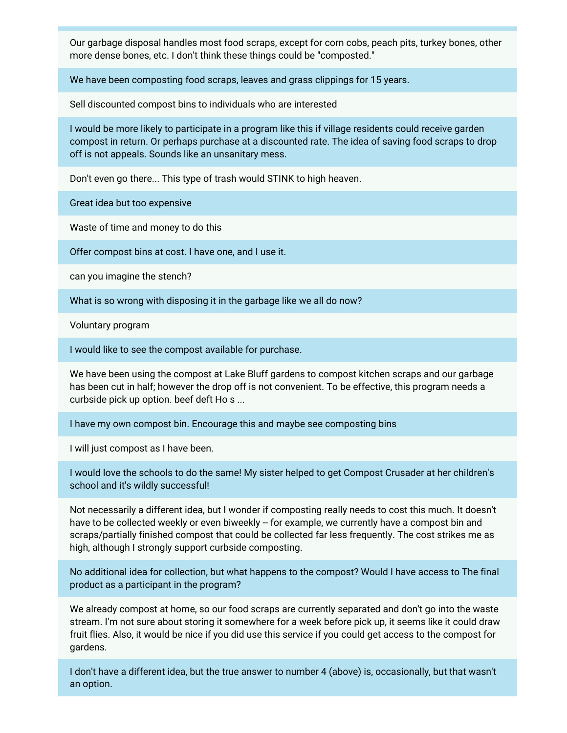Our garbage disposal handles most food scraps, except for corn cobs, peach pits, turkey bones, other more dense bones, etc. I don't think these things could be "composted."

We have been composting food scraps, leaves and grass clippings for 15 years.

Sell discounted compost bins to individuals who are interested

I would be more likely to participate in a program like this if village residents could receive garden compost in return. Or perhaps purchase at a discounted rate. The idea of saving food scraps to drop off is not appeals. Sounds like an unsanitary mess.

Don't even go there... This type of trash would STINK to high heaven.

Great idea but too expensive

Waste of time and money to do this

Offer compost bins at cost. I have one, and I use it.

can you imagine the stench?

What is so wrong with disposing it in the garbage like we all do now?

Voluntary program

I would like to see the compost available for purchase.

We have been using the compost at Lake Bluff gardens to compost kitchen scraps and our garbage has been cut in half; however the drop off is not convenient. To be effective, this program needs a curbside pick up option. beef deft Ho s ...

I have my own compost bin. Encourage this and maybe see composting bins

I will just compost as I have been.

I would love the schools to do the same! My sister helped to get Compost Crusader at her children's school and it's wildly successful!

Not necessarily a different idea, but I wonder if composting really needs to cost this much. It doesn't have to be collected weekly or even biweekly -- for example, we currently have a compost bin and scraps/partially finished compost that could be collected far less frequently. The cost strikes me as high, although I strongly support curbside composting.

No additional idea for collection, but what happens to the compost? Would I have access to The final product as a participant in the program?

We already compost at home, so our food scraps are currently separated and don't go into the waste stream. I'm not sure about storing it somewhere for a week before pick up, it seems like it could draw fruit flies. Also, it would be nice if you did use this service if you could get access to the compost for gardens.

I don't have a different idea, but the true answer to number 4 (above) is, occasionally, but that wasn't an option.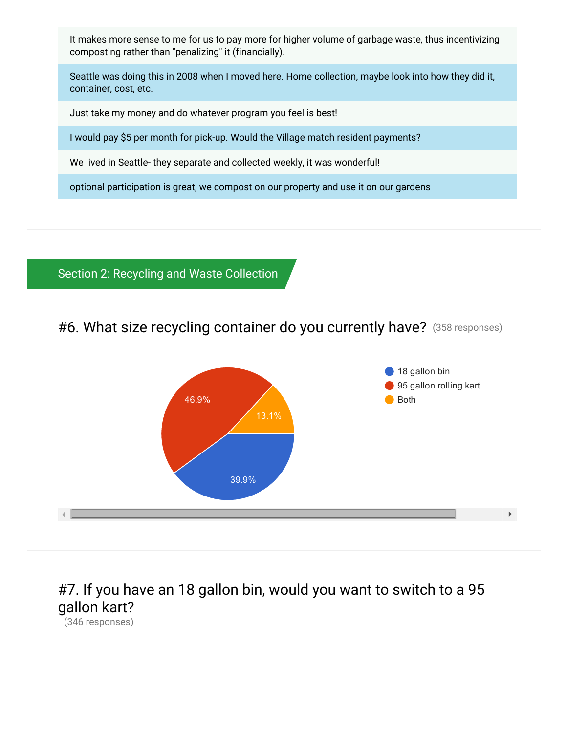It makes more sense to me for us to pay more for higher volume of garbage waste, thus incentivizing composting rather than "penalizing" it (financially).

Seattle was doing this in 2008 when I moved here. Home collection, maybe look into how they did it, container, cost, etc.

Just take my money and do whatever program you feel is best!

I would pay \$5 per month for pick-up. Would the Village match resident payments?

We lived in Seattle- they separate and collected weekly, it was wonderful!

optional participation is great, we compost on our property and use it on our gardens

Section 2: Recycling and Waste Collection

#6. What size recycling container do you currently have? (358 responses)



# #7. If you have an 18 gallon bin, would you want to switch to a 95 gallon kart?

(346 responses)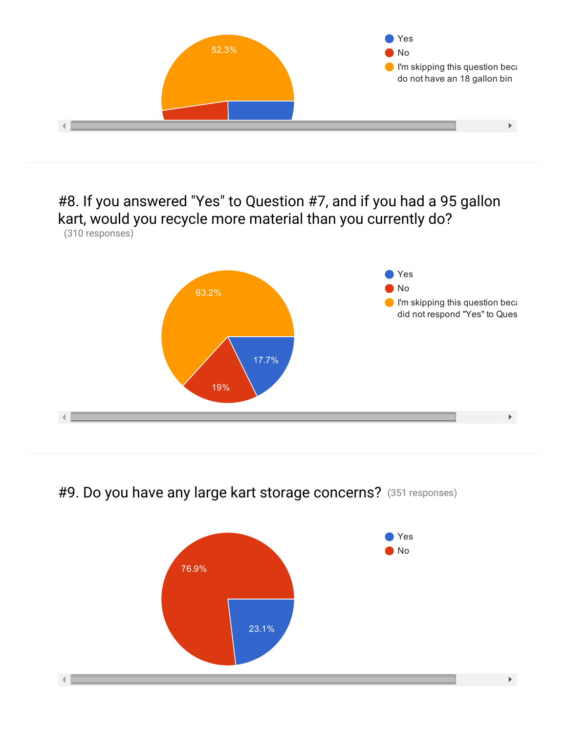

### #8. If you answered "Yes" to Question #7, and if you had a 95 gallon kart, would you recycle more material than you currently do? (310 responses)



#9. Do you have any large kart storage concerns? (351 responses)

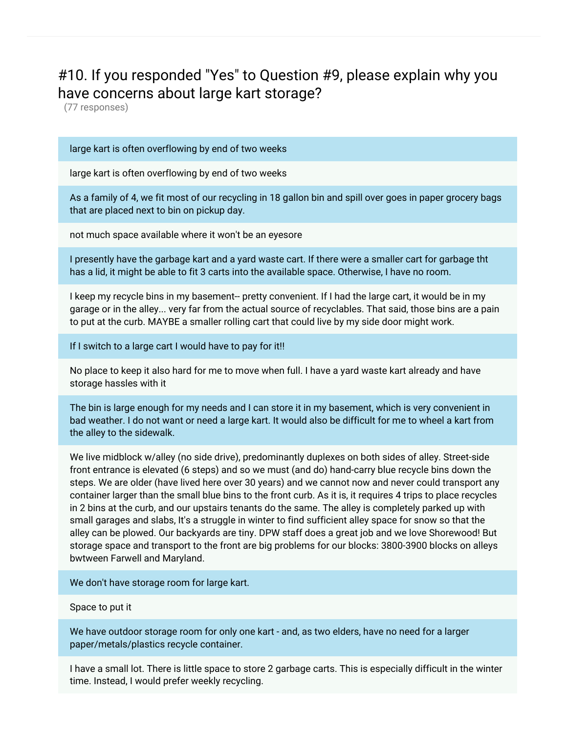## #10. If you responded "Yes" to Question #9, please explain why you have concerns about large kart storage?

(77 responses)

#### large kart is often overflowing by end of two weeks

large kart is often overflowing by end of two weeks

As a family of 4, we fit most of our recycling in 18 gallon bin and spill over goes in paper grocery bags that are placed next to bin on pickup day.

not much space available where it won't be an eyesore

I presently have the garbage kart and a yard waste cart. If there were a smaller cart for garbage tht has a lid, it might be able to fit 3 carts into the available space. Otherwise, I have no room.

I keep my recycle bins in my basement-- pretty convenient. If I had the large cart, it would be in my garage or in the alley... very far from the actual source of recyclables. That said, those bins are a pain to put at the curb. MAYBE a smaller rolling cart that could live by my side door might work.

If I switch to a large cart I would have to pay for it!!

No place to keep it also hard for me to move when full. I have a yard waste kart already and have storage hassles with it

The bin is large enough for my needs and I can store it in my basement, which is very convenient in bad weather. I do not want or need a large kart. It would also be difficult for me to wheel a kart from the alley to the sidewalk.

We live midblock w/alley (no side drive), predominantly duplexes on both sides of alley. Street-side front entrance is elevated (6 steps) and so we must (and do) hand-carry blue recycle bins down the steps. We are older (have lived here over 30 years) and we cannot now and never could transport any container larger than the small blue bins to the front curb. As it is, it requires 4 trips to place recycles in 2 bins at the curb, and our upstairs tenants do the same. The alley is completely parked up with small garages and slabs, It's a struggle in winter to find sufficient alley space for snow so that the alley can be plowed. Our backyards are tiny. DPW staff does a great job and we love Shorewood! But storage space and transport to the front are big problems for our blocks: 3800-3900 blocks on alleys bwtween Farwell and Maryland.

We don't have storage room for large kart.

Space to put it

We have outdoor storage room for only one kart - and, as two elders, have no need for a larger paper/metals/plastics recycle container.

I have a small lot. There is little space to store 2 garbage carts. This is especially difficult in the winter time. Instead, I would prefer weekly recycling.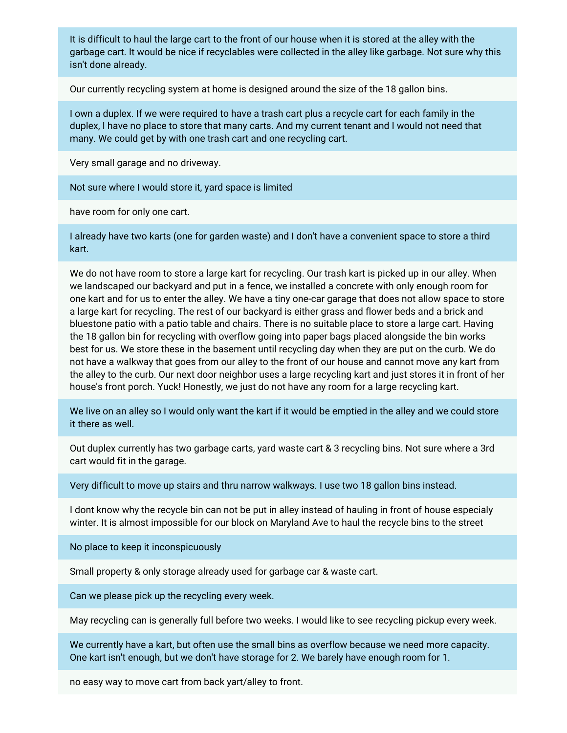It is difficult to haul the large cart to the front of our house when it is stored at the alley with the garbage cart. It would be nice if recyclables were collected in the alley like garbage. Not sure why this isn't done already.

Our currently recycling system at home is designed around the size of the 18 gallon bins.

I own a duplex. If we were required to have a trash cart plus a recycle cart for each family in the duplex, I have no place to store that many carts. And my current tenant and I would not need that many. We could get by with one trash cart and one recycling cart.

Very small garage and no driveway.

Not sure where I would store it, yard space is limited

have room for only one cart.

I already have two karts (one for garden waste) and I don't have a convenient space to store a third kart.

We do not have room to store a large kart for recycling. Our trash kart is picked up in our alley. When we landscaped our backyard and put in a fence, we installed a concrete with only enough room for one kart and for us to enter the alley. We have a tiny one-car garage that does not allow space to store a large kart for recycling. The rest of our backyard is either grass and flower beds and a brick and bluestone patio with a patio table and chairs. There is no suitable place to store a large cart. Having the 18 gallon bin for recycling with overflow going into paper bags placed alongside the bin works best for us. We store these in the basement until recycling day when they are put on the curb. We do not have a walkway that goes from our alley to the front of our house and cannot move any kart from the alley to the curb. Our next door neighbor uses a large recycling kart and just stores it in front of her house's front porch. Yuck! Honestly, we just do not have any room for a large recycling kart.

We live on an alley so I would only want the kart if it would be emptied in the alley and we could store it there as well.

Out duplex currently has two garbage carts, yard waste cart & 3 recycling bins. Not sure where a 3rd cart would fit in the garage.

Very difficult to move up stairs and thru narrow walkways. I use two 18 gallon bins instead.

I dont know why the recycle bin can not be put in alley instead of hauling in front of house especialy winter. It is almost impossible for our block on Maryland Ave to haul the recycle bins to the street

No place to keep it inconspicuously

Small property & only storage already used for garbage car & waste cart.

Can we please pick up the recycling every week.

May recycling can is generally full before two weeks. I would like to see recycling pickup every week.

We currently have a kart, but often use the small bins as overflow because we need more capacity. One kart isn't enough, but we don't have storage for 2. We barely have enough room for 1.

no easy way to move cart from back yart/alley to front.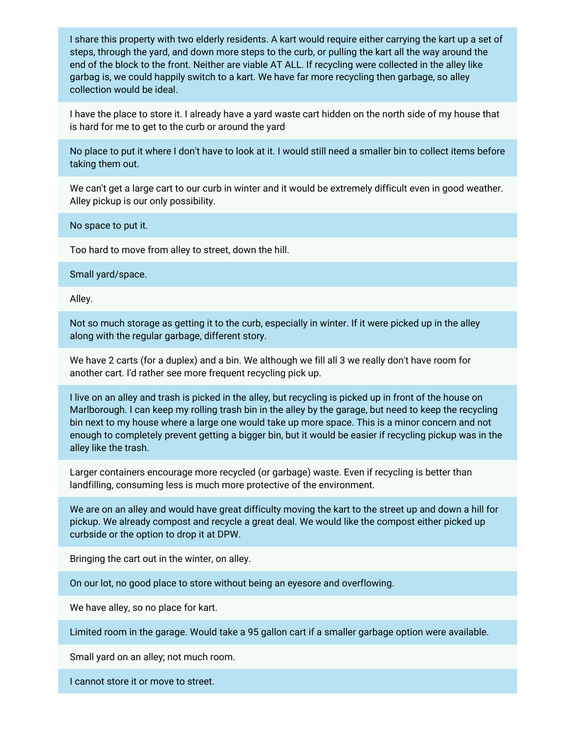I share this property with two elderly residents. A kart would require either carrying the kart up a set of steps, through the yard, and down more steps to the curb, or pulling the kart all the way around the end of the block to the front. Neither are viable AT ALL. If recycling were collected in the alley like garbag is, we could happily switch to a kart. We have far more recycling then garbage, so alley collection would be ideal.

I have the place to store it. I already have a yard waste cart hidden on the north side of my house that is hard for me to get to the curb or around the yard

No place to put it where I don't have to look at it. I would still need a smaller bin to collect items before taking them out.

We can't get a large cart to our curb in winter and it would be extremely difficult even in good weather. Alley pickup is our only possibility.

No space to put it.

Too hard to move from alley to street, down the hill.

Small yard/space.

Alley.

Not so much storage as getting it to the curb, especially in winter. If it were picked up in the alley along with the regular garbage, different story.

We have 2 carts (for a duplex) and a bin. We although we fill all 3 we really don't have room for another cart. I'd rather see more frequent recycling pick up.

I live on an alley and trash is picked in the alley, but recycling is picked up in front of the house on Marlborough. I can keep my rolling trash bin in the alley by the garage, but need to keep the recycling bin next to my house where a large one would take up more space. This is a minor concern and not enough to completely prevent getting a bigger bin, but it would be easier if recycling pickup was in the alley like the trash.

Larger containers encourage more recycled (or garbage) waste. Even if recycling is better than landfilling, consuming less is much more protective of the environment.

We are on an alley and would have great difficulty moving the kart to the street up and down a hill for pickup. We already compost and recycle a great deal. We would like the compost either picked up curbside or the option to drop it at DPW.

Bringing the cart out in the winter, on alley.

On our lot, no good place to store without being an eyesore and overflowing.

We have alley, so no place for kart.

Limited room in the garage. Would take a 95 gallon cart if a smaller garbage option were available.

Small yard on an alley; not much room.

I cannot store it or move to street.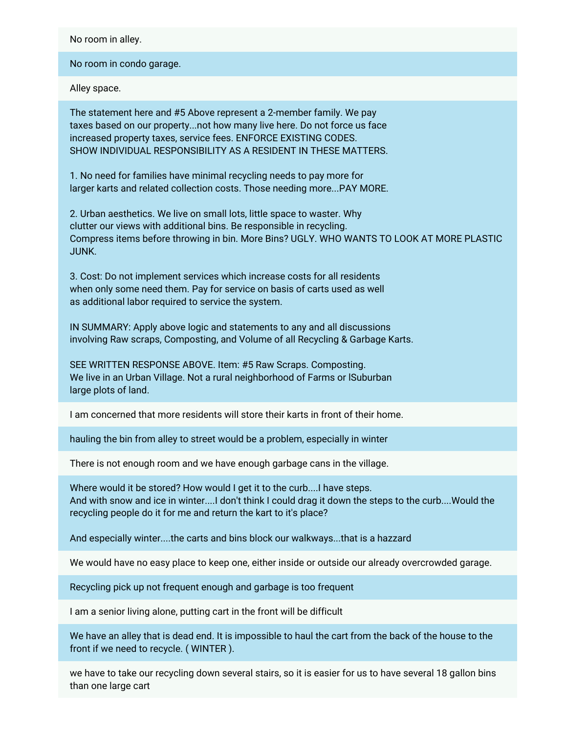No room in alley.

No room in condo garage.

Alley space.

The statement here and #5 Above represent a 2-member family. We pay taxes based on our property...not how many live here. Do not force us face increased property taxes, service fees. ENFORCE EXISTING CODES. SHOW INDIVIDUAL RESPONSIBILITY AS A RESIDENT IN THESE MATTERS.

1. No need for families have minimal recycling needs to pay more for larger karts and related collection costs. Those needing more...PAY MORE.

2. Urban aesthetics. We live on small lots, little space to waster. Why clutter our views with additional bins. Be responsible in recycling. Compress items before throwing in bin. More Bins? UGLY. WHO WANTS TO LOOK AT MORE PLASTIC JUNK.

3. Cost: Do not implement services which increase costs for all residents when only some need them. Pay for service on basis of carts used as well as additional labor required to service the system.

IN SUMMARY: Apply above logic and statements to any and all discussions involving Raw scraps, Composting, and Volume of all Recycling & Garbage Karts.

SEE WRITTEN RESPONSE ABOVE. Item: #5 Raw Scraps. Composting. We live in an Urban Village. Not a rural neighborhood of Farms or lSuburban large plots of land.

I am concerned that more residents will store their karts in front of their home.

hauling the bin from alley to street would be a problem, especially in winter

There is not enough room and we have enough garbage cans in the village.

Where would it be stored? How would I get it to the curb....I have steps. And with snow and ice in winter....I don't think I could drag it down the steps to the curb....Would the recycling people do it for me and return the kart to it's place?

And especially winter....the carts and bins block our walkways...that is a hazzard

We would have no easy place to keep one, either inside or outside our already overcrowded garage.

Recycling pick up not frequent enough and garbage is too frequent

I am a senior living alone, putting cart in the front will be difficult

We have an alley that is dead end. It is impossible to haul the cart from the back of the house to the front if we need to recycle. ( WINTER ).

we have to take our recycling down several stairs, so it is easier for us to have several 18 gallon bins than one large cart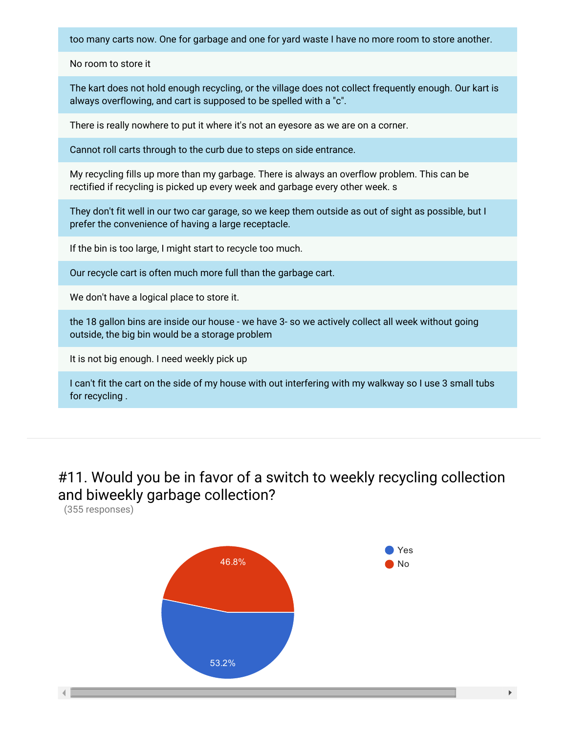too many carts now. One for garbage and one for yard waste I have no more room to store another.

No room to store it

The kart does not hold enough recycling, or the village does not collect frequently enough. Our kart is always overflowing, and cart is supposed to be spelled with a "c".

There is really nowhere to put it where it's not an eyesore as we are on a corner.

Cannot roll carts through to the curb due to steps on side entrance.

My recycling fills up more than my garbage. There is always an overflow problem. This can be rectified if recycling is picked up every week and garbage every other week. s

They don't fit well in our two car garage, so we keep them outside as out of sight as possible, but I prefer the convenience of having a large receptacle.

If the bin is too large, I might start to recycle too much.

Our recycle cart is often much more full than the garbage cart.

We don't have a logical place to store it.

the 18 gallon bins are inside our house - we have 3- so we actively collect all week without going outside, the big bin would be a storage problem

It is not big enough. I need weekly pick up

I can't fit the cart on the side of my house with out interfering with my walkway so I use 3 small tubs for recycling .

#11. Would you be in favor of a switch to weekly recycling collection and biweekly garbage collection?

(355 responses)



 $\mathbb{R}^{\mathbb{Z}}$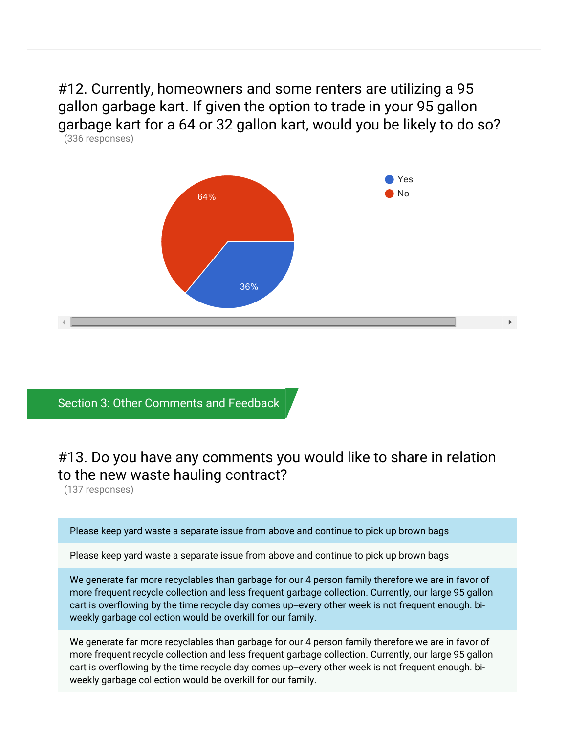#12. Currently, homeowners and some renters are utilizing a 95 gallon garbage kart. If given the option to trade in your 95 gallon garbage kart for a 64 or 32 gallon kart, would you be likely to do so? (336 responses)



### Section 3: Other Comments and Feedback

## #13. Do you have any comments you would like to share in relation to the new waste hauling contract?

(137 responses)

Please keep yard waste a separate issue from above and continue to pick up brown bags

Please keep yard waste a separate issue from above and continue to pick up brown bags

We generate far more recyclables than garbage for our 4 person family therefore we are in favor of more frequent recycle collection and less frequent garbage collection. Currently, our large 95 gallon cart is overflowing by the time recycle day comes up--every other week is not frequent enough. biweekly garbage collection would be overkill for our family.

We generate far more recyclables than garbage for our 4 person family therefore we are in favor of more frequent recycle collection and less frequent garbage collection. Currently, our large 95 gallon cart is overflowing by the time recycle day comes up--every other week is not frequent enough. biweekly garbage collection would be overkill for our family.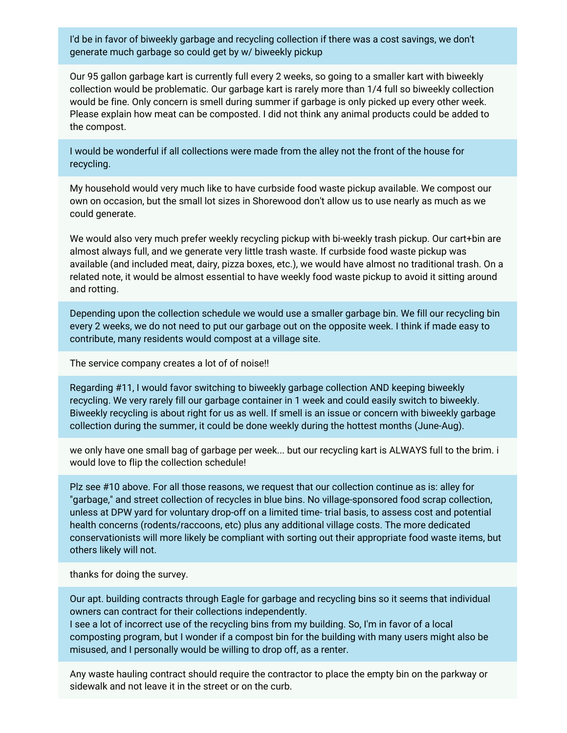I'd be in favor of biweekly garbage and recycling collection if there was a cost savings, we don't generate much garbage so could get by w/ biweekly pickup

Our 95 gallon garbage kart is currently full every 2 weeks, so going to a smaller kart with biweekly collection would be problematic. Our garbage kart is rarely more than 1/4 full so biweekly collection would be fine. Only concern is smell during summer if garbage is only picked up every other week. Please explain how meat can be composted. I did not think any animal products could be added to the compost.

I would be wonderful if all collections were made from the alley not the front of the house for recycling.

My household would very much like to have curbside food waste pickup available. We compost our own on occasion, but the small lot sizes in Shorewood don't allow us to use nearly as much as we could generate.

We would also very much prefer weekly recycling pickup with bi-weekly trash pickup. Our cart+bin are almost always full, and we generate very little trash waste. If curbside food waste pickup was available (and included meat, dairy, pizza boxes, etc.), we would have almost no traditional trash. On a related note, it would be almost essential to have weekly food waste pickup to avoid it sitting around and rotting.

Depending upon the collection schedule we would use a smaller garbage bin. We fill our recycling bin every 2 weeks, we do not need to put our garbage out on the opposite week. I think if made easy to contribute, many residents would compost at a village site.

The service company creates a lot of of noise!!

Regarding #11, I would favor switching to biweekly garbage collection AND keeping biweekly recycling. We very rarely fill our garbage container in 1 week and could easily switch to biweekly. Biweekly recycling is about right for us as well. If smell is an issue or concern with biweekly garbage collection during the summer, it could be done weekly during the hottest months (June-Aug).

we only have one small bag of garbage per week... but our recycling kart is ALWAYS full to the brim. i would love to flip the collection schedule!

Plz see #10 above. For all those reasons, we request that our collection continue as is: alley for "garbage," and street collection of recycles in blue bins. No village-sponsored food scrap collection, unless at DPW yard for voluntary drop-off on a limited time- trial basis, to assess cost and potential health concerns (rodents/raccoons, etc) plus any additional village costs. The more dedicated conservationists will more likely be compliant with sorting out their appropriate food waste items, but others likely will not.

thanks for doing the survey.

Our apt. building contracts through Eagle for garbage and recycling bins so it seems that individual owners can contract for their collections independently.

I see a lot of incorrect use of the recycling bins from my building. So, I'm in favor of a local composting program, but I wonder if a compost bin for the building with many users might also be misused, and I personally would be willing to drop off, as a renter.

Any waste hauling contract should require the contractor to place the empty bin on the parkway or sidewalk and not leave it in the street or on the curb.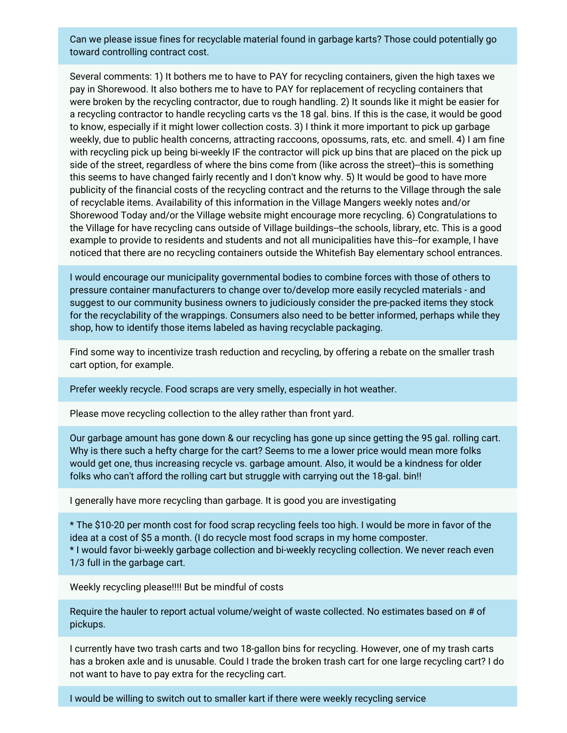Can we please issue fines for recyclable material found in garbage karts? Those could potentially go toward controlling contract cost.

Several comments: 1) It bothers me to have to PAY for recycling containers, given the high taxes we pay in Shorewood. It also bothers me to have to PAY for replacement of recycling containers that were broken by the recycling contractor, due to rough handling. 2) It sounds like it might be easier for a recycling contractor to handle recycling carts vs the 18 gal. bins. If this is the case, it would be good to know, especially if it might lower collection costs. 3) I think it more important to pick up garbage weekly, due to public health concerns, attracting raccoons, opossums, rats, etc. and smell. 4) I am fine with recycling pick up being bi-weekly IF the contractor will pick up bins that are placed on the pick up side of the street, regardless of where the bins come from (like across the street)--this is something this seems to have changed fairly recently and I don't know why. 5) It would be good to have more publicity of the financial costs of the recycling contract and the returns to the Village through the sale of recyclable items. Availability of this information in the Village Mangers weekly notes and/or Shorewood Today and/or the Village website might encourage more recycling. 6) Congratulations to the Village for have recycling cans outside of Village buildings--the schools, library, etc. This is a good example to provide to residents and students and not all municipalities have this--for example, I have noticed that there are no recycling containers outside the Whitefish Bay elementary school entrances.

I would encourage our municipality governmental bodies to combine forces with those of others to pressure container manufacturers to change over to/develop more easily recycled materials - and suggest to our community business owners to judiciously consider the pre-packed items they stock for the recyclability of the wrappings. Consumers also need to be better informed, perhaps while they shop, how to identify those items labeled as having recyclable packaging.

Find some way to incentivize trash reduction and recycling, by offering a rebate on the smaller trash cart option, for example.

Prefer weekly recycle. Food scraps are very smelly, especially in hot weather.

Please move recycling collection to the alley rather than front yard.

Our garbage amount has gone down & our recycling has gone up since getting the 95 gal. rolling cart. Why is there such a hefty charge for the cart? Seems to me a lower price would mean more folks would get one, thus increasing recycle vs. garbage amount. Also, it would be a kindness for older folks who can't afford the rolling cart but struggle with carrying out the 18-gal. bin!!

I generally have more recycling than garbage. It is good you are investigating

\* The \$10-20 per month cost for food scrap recycling feels too high. I would be more in favor of the idea at a cost of \$5 a month. (I do recycle most food scraps in my home composter.

\* I would favor bi-weekly garbage collection and bi-weekly recycling collection. We never reach even 1/3 full in the garbage cart.

Weekly recycling please!!!! But be mindful of costs

Require the hauler to report actual volume/weight of waste collected. No estimates based on # of pickups.

I currently have two trash carts and two 18-gallon bins for recycling. However, one of my trash carts has a broken axle and is unusable. Could I trade the broken trash cart for one large recycling cart? I do not want to have to pay extra for the recycling cart.

I would be willing to switch out to smaller kart if there were weekly recycling service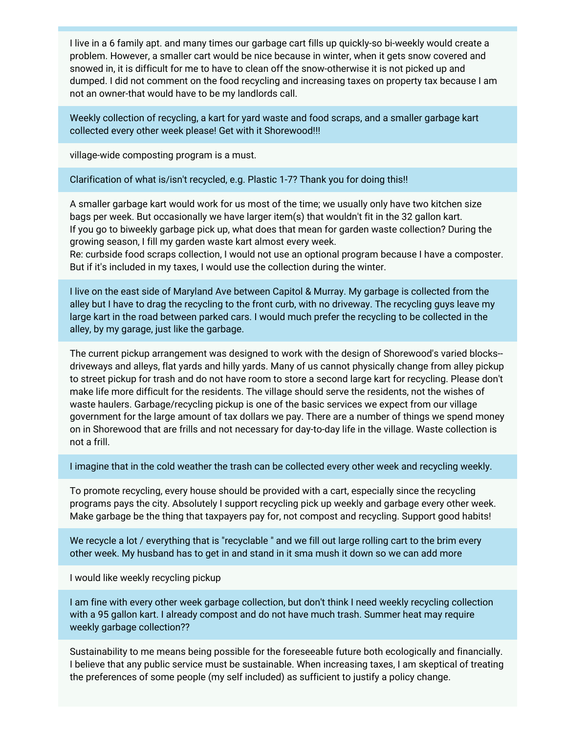I live in a 6 family apt. and many times our garbage cart fills up quickly-so bi-weekly would create a problem. However, a smaller cart would be nice because in winter, when it gets snow covered and snowed in, it is difficult for me to have to clean off the snow-otherwise it is not picked up and dumped. I did not comment on the food recycling and increasing taxes on property tax because I am not an owner-that would have to be my landlords call.

Weekly collection of recycling, a kart for yard waste and food scraps, and a smaller garbage kart collected every other week please! Get with it Shorewood!!!

village-wide composting program is a must.

Clarification of what is/isn't recycled, e.g. Plastic 1-7? Thank you for doing this!!

A smaller garbage kart would work for us most of the time; we usually only have two kitchen size bags per week. But occasionally we have larger item(s) that wouldn't fit in the 32 gallon kart. If you go to biweekly garbage pick up, what does that mean for garden waste collection? During the growing season, I fill my garden waste kart almost every week.

Re: curbside food scraps collection, I would not use an optional program because I have a composter. But if it's included in my taxes, I would use the collection during the winter.

I live on the east side of Maryland Ave between Capitol & Murray. My garbage is collected from the alley but I have to drag the recycling to the front curb, with no driveway. The recycling guys leave my large kart in the road between parked cars. I would much prefer the recycling to be collected in the alley, by my garage, just like the garbage.

The current pickup arrangement was designed to work with the design of Shorewood's varied blocks- driveways and alleys, flat yards and hilly yards. Many of us cannot physically change from alley pickup to street pickup for trash and do not have room to store a second large kart for recycling. Please don't make life more difficult for the residents. The village should serve the residents, not the wishes of waste haulers. Garbage/recycling pickup is one of the basic services we expect from our village government for the large amount of tax dollars we pay. There are a number of things we spend money on in Shorewood that are frills and not necessary for day-to-day life in the village. Waste collection is not a frill.

I imagine that in the cold weather the trash can be collected every other week and recycling weekly.

To promote recycling, every house should be provided with a cart, especially since the recycling programs pays the city. Absolutely I support recycling pick up weekly and garbage every other week. Make garbage be the thing that taxpayers pay for, not compost and recycling. Support good habits!

We recycle a lot / everything that is "recyclable" and we fill out large rolling cart to the brim every other week. My husband has to get in and stand in it sma mush it down so we can add more

I would like weekly recycling pickup

I am fine with every other week garbage collection, but don't think I need weekly recycling collection with a 95 gallon kart. I already compost and do not have much trash. Summer heat may require weekly garbage collection??

Sustainability to me means being possible for the foreseeable future both ecologically and financially. I believe that any public service must be sustainable. When increasing taxes, I am skeptical of treating the preferences of some people (my self included) as sufficient to justify a policy change.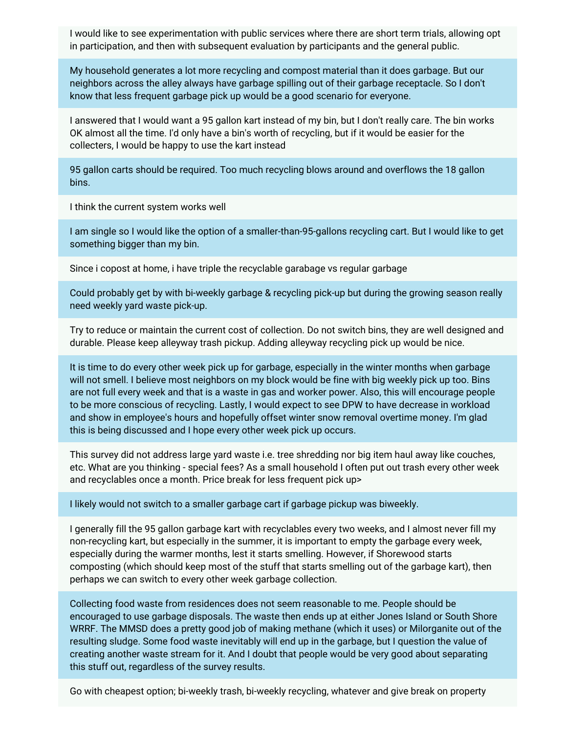I would like to see experimentation with public services where there are short term trials, allowing opt in participation, and then with subsequent evaluation by participants and the general public.

My household generates a lot more recycling and compost material than it does garbage. But our neighbors across the alley always have garbage spilling out of their garbage receptacle. So I don't know that less frequent garbage pick up would be a good scenario for everyone.

I answered that I would want a 95 gallon kart instead of my bin, but I don't really care. The bin works OK almost all the time. I'd only have a bin's worth of recycling, but if it would be easier for the collecters, I would be happy to use the kart instead

95 gallon carts should be required. Too much recycling blows around and overflows the 18 gallon bins.

I think the current system works well

I am single so I would like the option of a smaller-than-95-gallons recycling cart. But I would like to get something bigger than my bin.

Since i copost at home, i have triple the recyclable garabage vs regular garbage

Could probably get by with bi-weekly garbage & recycling pick-up but during the growing season really need weekly yard waste pick-up.

Try to reduce or maintain the current cost of collection. Do not switch bins, they are well designed and durable. Please keep alleyway trash pickup. Adding alleyway recycling pick up would be nice.

It is time to do every other week pick up for garbage, especially in the winter months when garbage will not smell. I believe most neighbors on my block would be fine with big weekly pick up too. Bins are not full every week and that is a waste in gas and worker power. Also, this will encourage people to be more conscious of recycling. Lastly, I would expect to see DPW to have decrease in workload and show in employee's hours and hopefully offset winter snow removal overtime money. I'm glad this is being discussed and I hope every other week pick up occurs.

This survey did not address large yard waste i.e. tree shredding nor big item haul away like couches, etc. What are you thinking - special fees? As a small household I often put out trash every other week and recyclables once a month. Price break for less frequent pick up>

I likely would not switch to a smaller garbage cart if garbage pickup was biweekly.

I generally fill the 95 gallon garbage kart with recyclables every two weeks, and I almost never fill my non-recycling kart, but especially in the summer, it is important to empty the garbage every week, especially during the warmer months, lest it starts smelling. However, if Shorewood starts composting (which should keep most of the stuff that starts smelling out of the garbage kart), then perhaps we can switch to every other week garbage collection.

Collecting food waste from residences does not seem reasonable to me. People should be encouraged to use garbage disposals. The waste then ends up at either Jones Island or South Shore WRRF. The MMSD does a pretty good job of making methane (which it uses) or Milorganite out of the resulting sludge. Some food waste inevitably will end up in the garbage, but I question the value of creating another waste stream for it. And I doubt that people would be very good about separating this stuff out, regardless of the survey results.

Go with cheapest option; bi-weekly trash, bi-weekly recycling, whatever and give break on property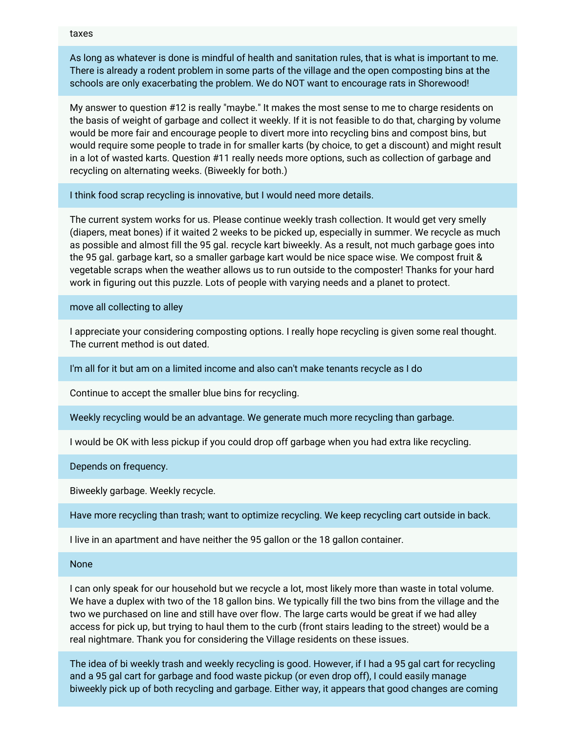taxes

As long as whatever is done is mindful of health and sanitation rules, that is what is important to me. There is already a rodent problem in some parts of the village and the open composting bins at the schools are only exacerbating the problem. We do NOT want to encourage rats in Shorewood!

My answer to question #12 is really "maybe." It makes the most sense to me to charge residents on the basis of weight of garbage and collect it weekly. If it is not feasible to do that, charging by volume would be more fair and encourage people to divert more into recycling bins and compost bins, but would require some people to trade in for smaller karts (by choice, to get a discount) and might result in a lot of wasted karts. Question #11 really needs more options, such as collection of garbage and recycling on alternating weeks. (Biweekly for both.)

I think food scrap recycling is innovative, but I would need more details.

The current system works for us. Please continue weekly trash collection. It would get very smelly (diapers, meat bones) if it waited 2 weeks to be picked up, especially in summer. We recycle as much as possible and almost fill the 95 gal. recycle kart biweekly. As a result, not much garbage goes into the 95 gal. garbage kart, so a smaller garbage kart would be nice space wise. We compost fruit & vegetable scraps when the weather allows us to run outside to the composter! Thanks for your hard work in figuring out this puzzle. Lots of people with varying needs and a planet to protect.

move all collecting to alley

I appreciate your considering composting options. I really hope recycling is given some real thought. The current method is out dated.

I'm all for it but am on a limited income and also can't make tenants recycle as I do

Continue to accept the smaller blue bins for recycling.

Weekly recycling would be an advantage. We generate much more recycling than garbage.

I would be OK with less pickup if you could drop off garbage when you had extra like recycling.

Depends on frequency.

Biweekly garbage. Weekly recycle.

Have more recycling than trash; want to optimize recycling. We keep recycling cart outside in back.

I live in an apartment and have neither the 95 gallon or the 18 gallon container.

None

I can only speak for our household but we recycle a lot, most likely more than waste in total volume. We have a duplex with two of the 18 gallon bins. We typically fill the two bins from the village and the two we purchased on line and still have over flow. The large carts would be great if we had alley access for pick up, but trying to haul them to the curb (front stairs leading to the street) would be a real nightmare. Thank you for considering the Village residents on these issues.

The idea of bi weekly trash and weekly recycling is good. However, if I had a 95 gal cart for recycling and a 95 gal cart for garbage and food waste pickup (or even drop off), I could easily manage biweekly pick up of both recycling and garbage. Either way, it appears that good changes are coming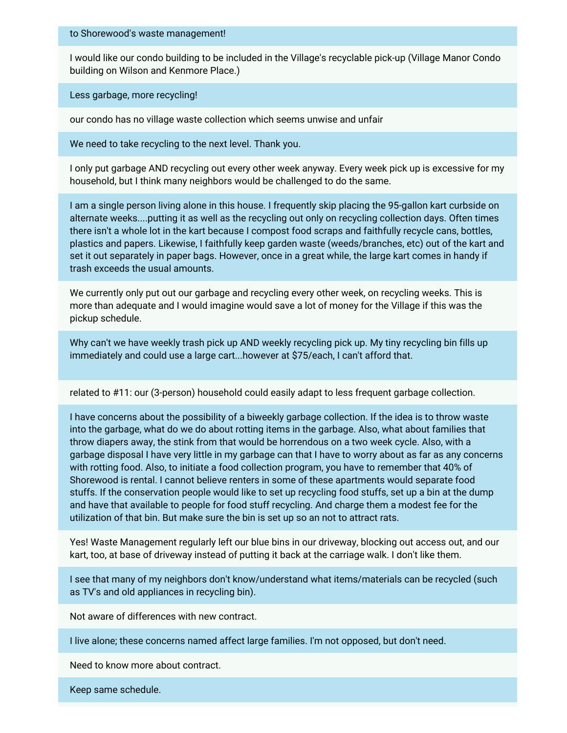#### to Shorewood's waste management!

I would like our condo building to be included in the Village's recyclable pick-up (Village Manor Condo building on Wilson and Kenmore Place.)

Less garbage, more recycling!

our condo has no village waste collection which seems unwise and unfair

We need to take recycling to the next level. Thank you.

I only put garbage AND recycling out every other week anyway. Every week pick up is excessive for my household, but I think many neighbors would be challenged to do the same.

I am a single person living alone in this house. I frequently skip placing the 95-gallon kart curbside on alternate weeks....putting it as well as the recycling out only on recycling collection days. Often times there isn't a whole lot in the kart because I compost food scraps and faithfully recycle cans, bottles, plastics and papers. Likewise, I faithfully keep garden waste (weeds/branches, etc) out of the kart and set it out separately in paper bags. However, once in a great while, the large kart comes in handy if trash exceeds the usual amounts.

We currently only put out our garbage and recycling every other week, on recycling weeks. This is more than adequate and I would imagine would save a lot of money for the Village if this was the pickup schedule.

Why can't we have weekly trash pick up AND weekly recycling pick up. My tiny recycling bin fills up immediately and could use a large cart...however at \$75/each, I can't afford that.

related to #11: our (3-person) household could easily adapt to less frequent garbage collection.

I have concerns about the possibility of a biweekly garbage collection. If the idea is to throw waste into the garbage, what do we do about rotting items in the garbage. Also, what about families that throw diapers away, the stink from that would be horrendous on a two week cycle. Also, with a garbage disposal I have very little in my garbage can that I have to worry about as far as any concerns with rotting food. Also, to initiate a food collection program, you have to remember that 40% of Shorewood is rental. I cannot believe renters in some of these apartments would separate food stuffs. If the conservation people would like to set up recycling food stuffs, set up a bin at the dump and have that available to people for food stuff recycling. And charge them a modest fee for the utilization of that bin. But make sure the bin is set up so an not to attract rats.

Yes! Waste Management regularly left our blue bins in our driveway, blocking out access out, and our kart, too, at base of driveway instead of putting it back at the carriage walk. I don't like them.

I see that many of my neighbors don't know/understand what items/materials can be recycled (such as TV's and old appliances in recycling bin).

Not aware of differences with new contract.

I live alone; these concerns named affect large families. I'm not opposed, but don't need.

Need to know more about contract.

Keep same schedule.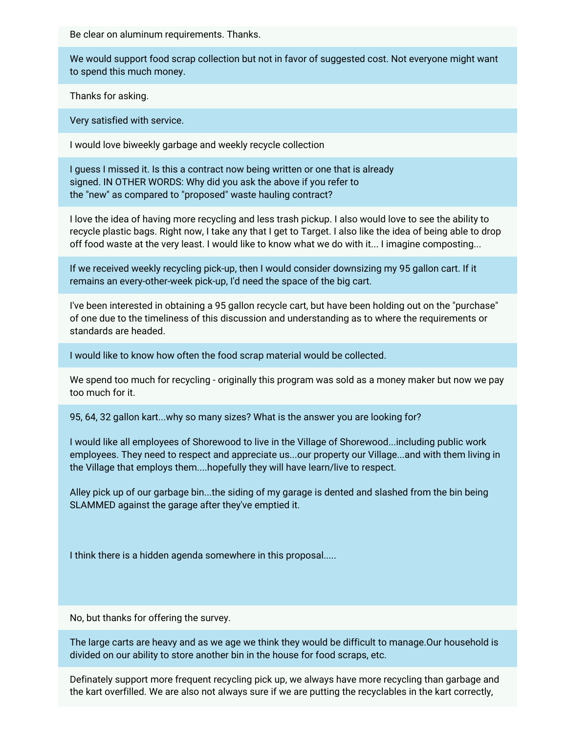Be clear on aluminum requirements. Thanks.

We would support food scrap collection but not in favor of suggested cost. Not everyone might want to spend this much money.

Thanks for asking.

Very satisfied with service.

I would love biweekly garbage and weekly recycle collection

I guess I missed it. Is this a contract now being written or one that is already signed. IN OTHER WORDS: Why did you ask the above if you refer to the "new" as compared to "proposed" waste hauling contract?

I love the idea of having more recycling and less trash pickup. I also would love to see the ability to recycle plastic bags. Right now, I take any that I get to Target. I also like the idea of being able to drop off food waste at the very least. I would like to know what we do with it... I imagine composting...

If we received weekly recycling pick-up, then I would consider downsizing my 95 gallon cart. If it remains an every-other-week pick-up, I'd need the space of the big cart.

I've been interested in obtaining a 95 gallon recycle cart, but have been holding out on the "purchase" of one due to the timeliness of this discussion and understanding as to where the requirements or standards are headed.

I would like to know how often the food scrap material would be collected.

We spend too much for recycling - originally this program was sold as a money maker but now we pay too much for it.

95, 64, 32 gallon kart...why so many sizes? What is the answer you are looking for?

I would like all employees of Shorewood to live in the Village of Shorewood...including public work employees. They need to respect and appreciate us...our property our Village...and with them living in the Village that employs them....hopefully they will have learn/live to respect.

Alley pick up of our garbage bin...the siding of my garage is dented and slashed from the bin being SLAMMED against the garage after they've emptied it.

I think there is a hidden agenda somewhere in this proposal.....

No, but thanks for offering the survey.

The large carts are heavy and as we age we think they would be difficult to manage.Our household is divided on our ability to store another bin in the house for food scraps, etc.

Definately support more frequent recycling pick up, we always have more recycling than garbage and the kart overfilled. We are also not always sure if we are putting the recyclables in the kart correctly,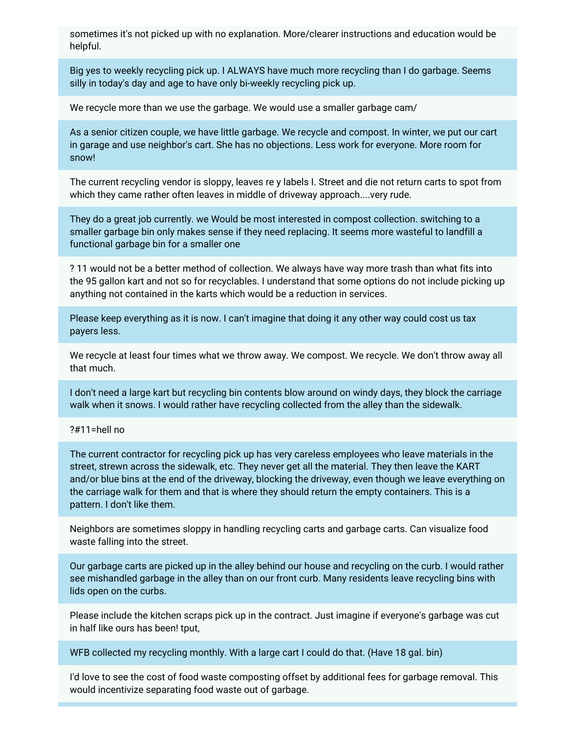sometimes it's not picked up with no explanation. More/clearer instructions and education would be helpful.

Big yes to weekly recycling pick up. I ALWAYS have much more recycling than I do garbage. Seems silly in today's day and age to have only bi-weekly recycling pick up.

We recycle more than we use the garbage. We would use a smaller garbage cam/

As a senior citizen couple, we have little garbage. We recycle and compost. In winter, we put our cart in garage and use neighbor's cart. She has no objections. Less work for everyone. More room for snow!

The current recycling vendor is sloppy, leaves re y labels I. Street and die not return carts to spot from which they came rather often leaves in middle of driveway approach....very rude.

They do a great job currently. we Would be most interested in compost collection. switching to a smaller garbage bin only makes sense if they need replacing. It seems more wasteful to landfill a functional garbage bin for a smaller one

? 11 would not be a better method of collection. We always have way more trash than what fits into the 95 gallon kart and not so for recyclables. I understand that some options do not include picking up anything not contained in the karts which would be a reduction in services.

Please keep everything as it is now. I can't imagine that doing it any other way could cost us tax payers less.

We recycle at least four times what we throw away. We compost. We recycle. We don't throw away all that much.

I don't need a large kart but recycling bin contents blow around on windy days, they block the carriage walk when it snows. I would rather have recycling collected from the alley than the sidewalk.

#### ?#11=hell no

The current contractor for recycling pick up has very careless employees who leave materials in the street, strewn across the sidewalk, etc. They never get all the material. They then leave the KART and/or blue bins at the end of the driveway, blocking the driveway, even though we leave everything on the carriage walk for them and that is where they should return the empty containers. This is a pattern. I don't like them.

Neighbors are sometimes sloppy in handling recycling carts and garbage carts. Can visualize food waste falling into the street.

Our garbage carts are picked up in the alley behind our house and recycling on the curb. I would rather see mishandled garbage in the alley than on our front curb. Many residents leave recycling bins with lids open on the curbs.

Please include the kitchen scraps pick up in the contract. Just imagine if everyone's garbage was cut in half like ours has been! tput,

WFB collected my recycling monthly. With a large cart I could do that. (Have 18 gal. bin)

I'd love to see the cost of food waste composting offset by additional fees for garbage removal. This would incentivize separating food waste out of garbage.